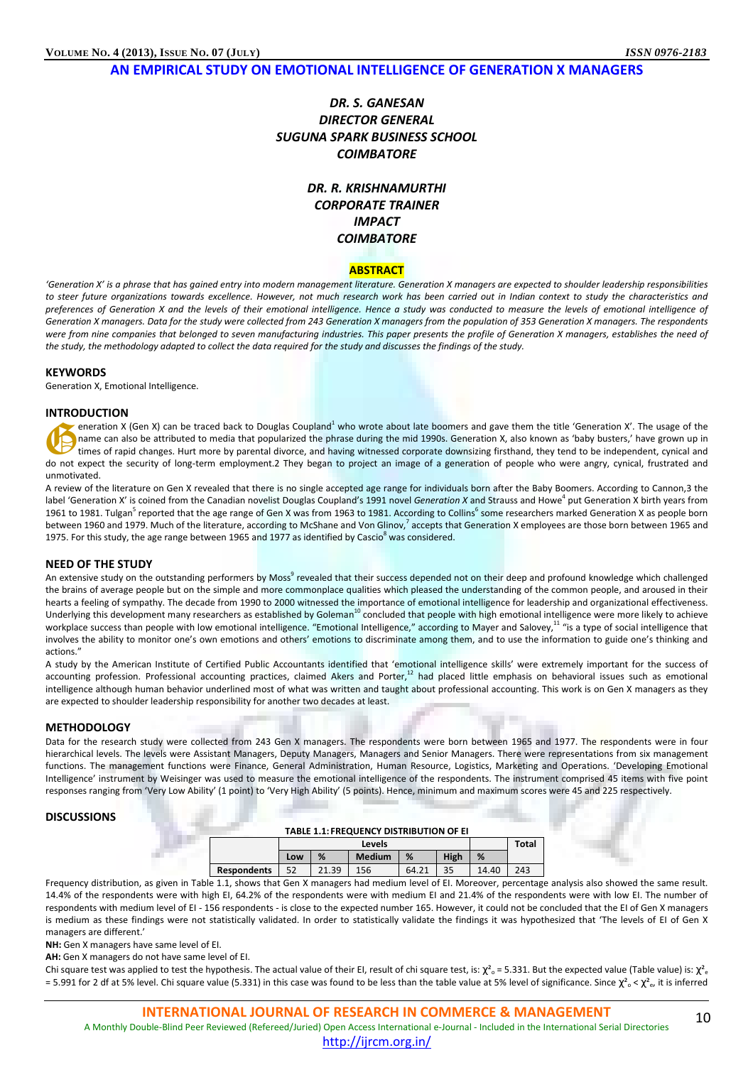# **AN EMPIRICAL STUDY ON EMOTIONAL INTELLIGENCE OF GENERATION X MANAGERS**

# *DR. S. GANESAN DIRECTOR GENERAL SUGUNA SPARK BUSINESS SCHOOL COIMBATORE*

# *DR. R. KRISHNAMURTHI CORPORATE TRAINER IMPACT COIMBATORE*

## **ABSTRACT**

*'Generation X' is a phrase that has gained entry into modern management literature. Generation X managers are expected to shoulder leadership responsibilities to steer future organizations towards excellence. However, not much research work has been carried out in Indian context to study the characteristics and* preferences of Generation X and the levels of their emotional intelligence. Hence a study was conducted to measure the levels of emotional intelligence of *Generation X managers. Data for the study were collected from 243 Generation X managers from the population of 353 Generation X managers. The respondents were from nine companies that belonged to seven manufacturing industries. This paper presents the profile of Generation X managers, establishes the need of the study, the methodology adapted to collect the data required for the study and discusses the findings of the study.* 

### **KEYWORDS**

Generation X, Emotional Intelligence.

### **INTRODUCTION**

eneration X (Gen X) can be traced back to Douglas Coupland<sup>1</sup> who wrote about late boomers and gave them the title 'Generation X'. The usage of the name can also be attributed to media that popularized the phrase during the mid 1990s. Generation X, also known as 'baby busters,' have grown up in times of rapid changes. Hurt more by parental divorce, and having witnessed corporate downsizing firsthand, they tend to be independent, cynical and do not expect the security of long-term employment.2 They began to project an image of a generation of people who were angry, cynical, frustrated and unmotivated. INIRO

A review of the literature on Gen X revealed that there is no single accepted age range for individuals born after the Baby Boomers. According to Cannon,3 the label 'Generation X' is coined from the Canadian novelist Douglas Coupland's 1991 novel *Generation X* and Strauss and Howe<sup>4</sup> put Generation X birth years from 1961 to 1981. Tulgan<sup>5</sup> reported that the age range of Gen X was from 1963 to 1981. According to Collins<sup>6</sup> some researchers marked Generation X as people born between 1960 and 1979. Much of the literature, according to McShane and Von Glinov,<sup>7</sup> accepts that Generation X employees are those born between 1965 and 1975. For this study, the age range between 1965 and 1977 as identified by Cascio $^8$  was considered.

## **NEED OF THE STUDY**

An extensive study on the outstanding performers by Moss<sup>9</sup> revealed that their success depended not on their deep and profound knowledge which challenged the brains of average people but on the simple and more commonplace qualities which pleased the understanding of the common people, and aroused in their hearts a feeling of sympathy. The decade from 1990 to 2000 witnessed the importance of emotional intelligence for leadership and organizational effectiveness. Underlying this development many researchers as established by Goleman<sup>10</sup> concluded that people with high emotional intelligence were more likely to achieve workplace success than people with low emotional intelligence. "Emotional Intelligence," according to Mayer and Salovey,<sup>11</sup> "is a type of social intelligence that involves the ability to monitor one's own emotions and others' emotions to discriminate among them, and to use the information to guide one's thinking and actions."

A study by the American Institute of Certified Public Accountants identified that 'emotional intelligence skills' were extremely important for the success of accounting profession. Professional accounting practices, claimed Akers and Porter,<sup>12</sup> had placed little emphasis on behavioral issues such as emotional intelligence although human behavior underlined most of what was written and taught about professional accounting. This work is on Gen X managers as they are expected to shoulder leadership responsibility for another two decades at least.

### **METHODOLOGY**

Data for the research study were collected from 243 Gen X managers. The respondents were born between 1965 and 1977. The respondents were in four hierarchical levels. The levels were Assistant Managers, Deputy Managers, Managers and Senior Managers. There were representations from six management functions. The management functions were Finance, General Administration, Human Resource, Logistics, Marketing and Operations. 'Developing Emotional Intelligence' instrument by Weisinger was used to measure the emotional intelligence of the respondents. The instrument comprised 45 items with five point responses ranging from 'Very Low Ability' (1 point) to 'Very High Ability' (5 points). Hence, minimum and maximum scores were 45 and 225 respectively.

## **DISCUSSIONS**

| <b>TABLE 1.1: FREQUENCY DISTRIBUTION OF EI</b>                                |   |  |  |       |  |  |  |  |
|-------------------------------------------------------------------------------|---|--|--|-------|--|--|--|--|
|                                                                               |   |  |  | Total |  |  |  |  |
|                                                                               | % |  |  |       |  |  |  |  |
| <b>Respondents</b><br>243<br>21.39<br>52<br>35<br>14.40<br>64.21<br>156       |   |  |  |       |  |  |  |  |
| Le 1.1 chouse that Can V managers had modium loual of FL Mexeques, norganizes |   |  |  |       |  |  |  |  |

Frequency distribution, as given in Table 1.1, shows that Gen X managers had medium level of EI. Moreover, percentage analysis also showed the same result. 14.4% of the respondents were with high EI, 64.2% of the respondents were with medium EI and 21.4% of the respondents were with low EI. The number of respondents with medium level of EI - 156 respondents - is close to the expected number 165. However, it could not be concluded that the EI of Gen X managers is medium as these findings were not statistically validated. In order to statistically validate the findings it was hypothesized that 'The levels of EI of Gen X managers are different.'

**NH:** Gen X managers have same level of EI.

**AH:** Gen X managers do not have same level of EI.

Chi square test was applied to test the hypothesis. The actual value of their EI, result of chi square test, is:  $\chi^2$  = 5.331. But the expected value (Table value) is:  $\chi^2$  = = 5.991 for 2 df at 5% level. Chi square value (5.331) in this case was found to be less than the table value at 5% level of significance. Since  $\chi^2 \circ \chi^2$ , it is inferred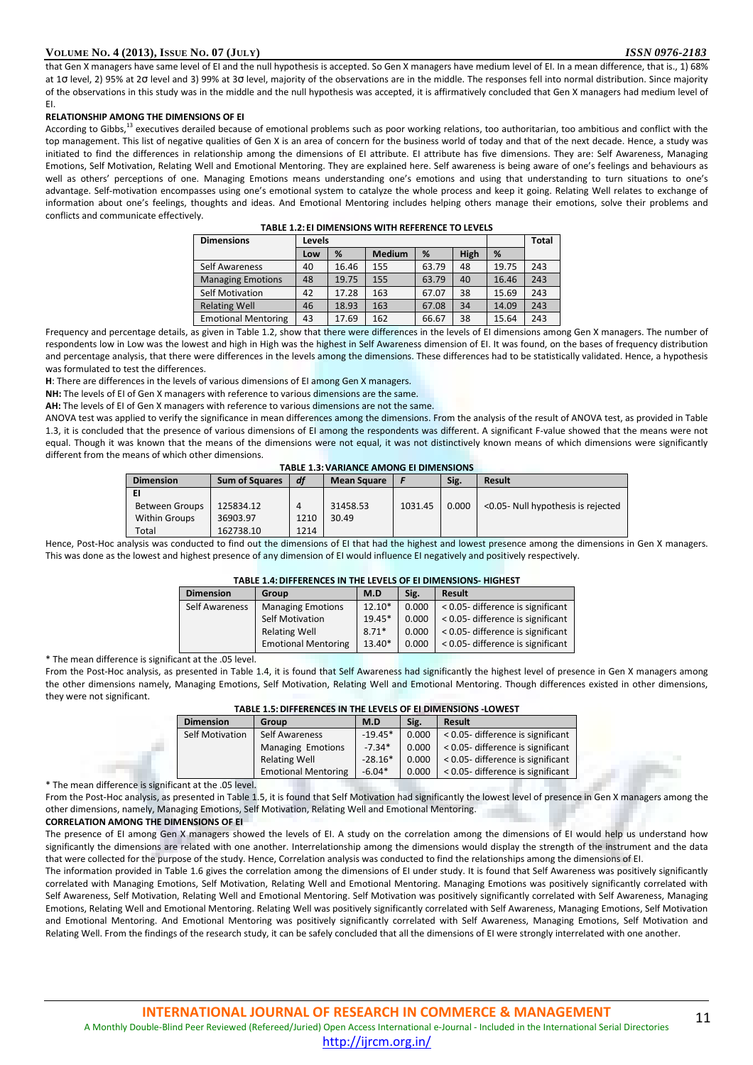### **VOLUME NO. 4 (2013), ISSUE NO. 07 (JULY)** *ISSN 0976-2183*

that Gen X managers have same level of EI and the null hypothesis is accepted. So Gen X managers have medium level of EI. In a mean difference, that is., 1) 68% at 1σ level, 2) 95% at 2σ level and 3) 99% at 3σ level, majority of the observations are in the middle. The responses fell into normal distribution. Since majority of the observations in this study was in the middle and the null hypothesis was accepted, it is affirmatively concluded that Gen X managers had medium level of EI.

#### **RELATIONSHIP AMONG THE DIMENSIONS OF EI**

According to Gibbs,<sup>13</sup> executives derailed because of emotional problems such as poor working relations, too authoritarian, too ambitious and conflict with the top management. This list of negative qualities of Gen X is an area of concern for the business world of today and that of the next decade. Hence, a study was initiated to find the differences in relationship among the dimensions of EI attribute. EI attribute has five dimensions. They are: Self Awareness, Managing Emotions, Self Motivation, Relating Well and Emotional Mentoring. They are explained here. Self awareness is being aware of one's feelings and behaviours as well as others' perceptions of one. Managing Emotions means understanding one's emotions and using that understanding to turn situations to one's advantage. Self-motivation encompasses using one's emotional system to catalyze the whole process and keep it going. Relating Well relates to exchange of information about one's feelings, thoughts and ideas. And Emotional Mentoring includes helping others manage their emotions, solve their problems and conflicts and communicate effectively.

| <b>Dimensions</b>          | Levels |       |               | <b>Total</b> |      |       |     |
|----------------------------|--------|-------|---------------|--------------|------|-------|-----|
|                            | Low    | %     | <b>Medium</b> | %            | High | %     |     |
| Self Awareness             | 40     | 16.46 | 155           | 63.79        | 48   | 19.75 | 243 |
| <b>Managing Emotions</b>   | 48     | 19.75 | 155           | 63.79        | 40   | 16.46 | 243 |
| Self Motivation            | 42     | 17.28 | 163           | 67.07        | 38   | 15.69 | 243 |
| <b>Relating Well</b>       | 46     | 18.93 | 163           | 67.08        | 34   | 14.09 | 243 |
| <b>Emotional Mentoring</b> | 43     | 17.69 | 162           | 66.67        | 38   | 15.64 | 243 |

Frequency and percentage details, as given in Table 1.2, show that there were differences in the levels of EI dimensions among Gen X managers. The number of respondents low in Low was the lowest and high in High was the highest in Self Awareness dimension of EI. It was found, on the bases of frequency distribution and percentage analysis, that there were differences in the levels among the dimensions. These differences had to be statistically validated. Hence, a hypothesis was formulated to test the differences.

**H**: There are differences in the levels of various dimensions of EI among Gen X managers.

**NH:** The levels of EI of Gen X managers with reference to various dimensions are the same.

**AH:** The levels of EI of Gen X managers with reference to various dimensions are not the same.

ANOVA test was applied to verify the significance in mean differences among the dimensions. From the analysis of the result of ANOVA test, as provided in Table 1.3, it is concluded that the presence of various dimensions of EI among the respondents was different. A significant F-value showed that the means were not equal. Though it was known that the means of the dimensions were not equal, it was not distinctively known means of which dimensions were significantly different from the means of which other dimensions.

| <b>TABLE 1.3: VARIANCE AMONG EI DIMENSIONS</b> |                       |                |                    |         |       |                                    |  |  |
|------------------------------------------------|-----------------------|----------------|--------------------|---------|-------|------------------------------------|--|--|
| <b>Dimension</b>                               | <b>Sum of Squares</b> | df             | <b>Mean Square</b> |         | Sig.  | <b>Result</b>                      |  |  |
| EI                                             |                       |                |                    |         |       |                                    |  |  |
| <b>Between Groups</b>                          | 125834.12             | $\overline{4}$ | 31458.53           | 1031.45 | 0.000 | <0.05- Null hypothesis is rejected |  |  |
| <b>Within Groups</b>                           | 36903.97              | 1210           | 30.49              |         |       |                                    |  |  |
| Total                                          | 162738.10             | 1214           |                    |         |       |                                    |  |  |

Hence, Post-Hoc analysis was conducted to find out the dimensions of EI that had the highest and lowest presence among the dimensions in Gen X managers. This was done as the lowest and highest presence of any dimension of EI would influence EI negatively and positively respectively.

### **TABLE 1.4: DIFFERENCES IN THE LEVELS OF EI DIMENSIONS- HIGHEST**

|                  | וכוווט היה שווטומונים של היה מונים ומונים ומונים המונים ומונים ומונים ומונים ו |          |       |                                   |
|------------------|--------------------------------------------------------------------------------|----------|-------|-----------------------------------|
| <b>Dimension</b> | Group                                                                          | M.D      | Sig.  | Result                            |
| Self Awareness   | <b>Managing Emotions</b>                                                       | $12.10*$ | 0.000 | < 0.05- difference is significant |
|                  | <b>Self Motivation</b>                                                         | $19.45*$ | 0.000 | < 0.05- difference is significant |
|                  | <b>Relating Well</b>                                                           | $8.71*$  | 0.000 | < 0.05- difference is significant |
|                  | <b>Emotional Mentoring</b>                                                     | $13.40*$ | 0.000 | < 0.05- difference is significant |

\* The mean difference is significant at the .05 level.

From the Post-Hoc analysis, as presented in Table 1.4, it is found that Self Awareness had significantly the highest level of presence in Gen X managers among the other dimensions namely, Managing Emotions, Self Motivation, Relating Well and Emotional Mentoring. Though differences existed in other dimensions, they were not significant.

| <b>Dimension</b> | Group                      | M.D       | Sig.  | <b>Result</b>                     |
|------------------|----------------------------|-----------|-------|-----------------------------------|
| Self Motivation  | <b>Self Awareness</b>      | $-19.45*$ | 0.000 | < 0.05- difference is significant |
|                  | <b>Managing Emotions</b>   | $-7.34*$  | 0.000 | < 0.05- difference is significant |
|                  | <b>Relating Well</b>       | $-28.16*$ | 0.000 | < 0.05- difference is significant |
|                  | <b>Emotional Mentoring</b> | $-6.04*$  | 0.000 | < 0.05- difference is significant |

\* The mean difference is significant at the .05 level.

From the Post-Hoc analysis, as presented in Table 1.5, it is found that Self Motivation had significantly the lowest level of presence in Gen X managers among the other dimensions, namely, Managing Emotions, Self Motivation, Relating Well and Emotional Mentoring.

#### **CORRELATION AMONG THE DIMENSIONS OF EI**

The presence of EI among Gen X managers showed the levels of EI. A study on the correlation among the dimensions of EI would help us understand how significantly the dimensions are related with one another. Interrelationship among the dimensions would display the strength of the instrument and the data that were collected for the purpose of the study. Hence, Correlation analysis was conducted to find the relationships among the dimensions of EI.

The information provided in Table 1.6 gives the correlation among the dimensions of EI under study. It is found that Self Awareness was positively significantly correlated with Managing Emotions, Self Motivation, Relating Well and Emotional Mentoring. Managing Emotions was positively significantly correlated with Self Awareness, Self Motivation, Relating Well and Emotional Mentoring. Self Motivation was positively significantly correlated with Self Awareness, Managing Emotions, Relating Well and Emotional Mentoring. Relating Well was positively significantly correlated with Self Awareness, Managing Emotions, Self Motivation and Emotional Mentoring. And Emotional Mentoring was positively significantly correlated with Self Awareness, Managing Emotions, Self Motivation and Relating Well. From the findings of the research study, it can be safely concluded that all the dimensions of EI were strongly interrelated with one another.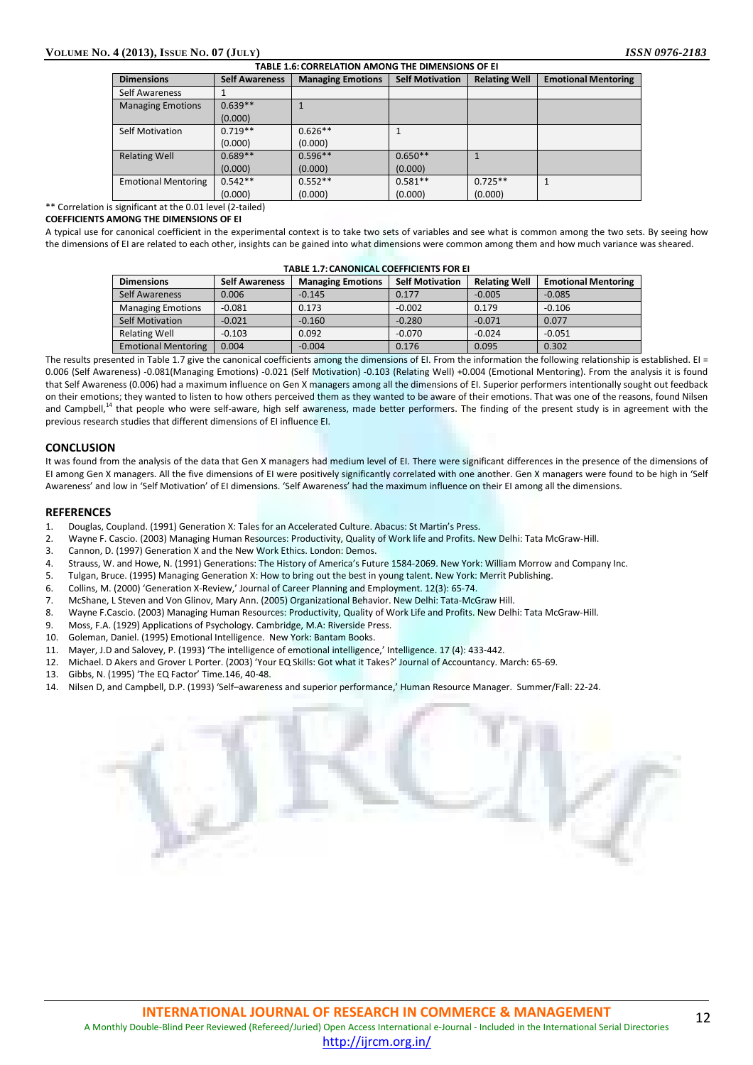| TABLE 1.6: CORRELATION AMONG THE DIMENSIONS OF EI |                       |                          |                        |                      |                            |  |  |
|---------------------------------------------------|-----------------------|--------------------------|------------------------|----------------------|----------------------------|--|--|
| <b>Dimensions</b>                                 | <b>Self Awareness</b> | <b>Managing Emotions</b> | <b>Self Motivation</b> | <b>Relating Well</b> | <b>Emotional Mentoring</b> |  |  |
| Self Awareness                                    |                       |                          |                        |                      |                            |  |  |
| <b>Managing Emotions</b>                          | $0.639**$             |                          |                        |                      |                            |  |  |
|                                                   | (0.000)               |                          |                        |                      |                            |  |  |
| Self Motivation                                   | $0.719**$             | $0.626**$                |                        |                      |                            |  |  |
|                                                   | (0.000)               | (0.000)                  |                        |                      |                            |  |  |
| <b>Relating Well</b>                              | $0.689**$             | $0.596**$                | $0.650**$              |                      |                            |  |  |
|                                                   | (0.000)               | (0.000)                  | (0.000)                |                      |                            |  |  |
| <b>Emotional Mentoring</b>                        | $0.542**$             | $0.552**$                | $0.581**$              | $0.725**$            |                            |  |  |
|                                                   | (0.000)               | (0.000)                  | (0.000)                | (0.000)              |                            |  |  |

\*\* Correlation is significant at the 0.01 level (2-tailed)

## **COEFFICIENTS AMONG THE DIMENSIONS OF EI**

A typical use for canonical coefficient in the experimental context is to take two sets of variables and see what is common among the two sets. By seeing how the dimensions of EI are related to each other, insights can be gained into what dimensions were common among them and how much variance was sheared.

| TABLE 1.7. CANONICAL COEFFICIENTS FOR ET |                       |                          |                        |                      |                            |  |  |  |
|------------------------------------------|-----------------------|--------------------------|------------------------|----------------------|----------------------------|--|--|--|
| <b>Dimensions</b>                        | <b>Self Awareness</b> | <b>Managing Emotions</b> | <b>Self Motivation</b> | <b>Relating Well</b> | <b>Emotional Mentoring</b> |  |  |  |
| <b>Self Awareness</b>                    | 0.006                 | $-0.145$                 | 0.177                  | $-0.005$             | $-0.085$                   |  |  |  |
| <b>Managing Emotions</b>                 | $-0.081$              | 0.173                    | $-0.002$               | 0.179                | $-0.106$                   |  |  |  |
| <b>Self Motivation</b>                   | $-0.021$              | $-0.160$                 | $-0.280$               | $-0.071$             | 0.077                      |  |  |  |
| <b>Relating Well</b>                     | $-0.103$              | 0.092                    | $-0.070$               | $-0.024$             | $-0.051$                   |  |  |  |
| <b>Emotional Mentoring</b>               | 0.004                 | $-0.004$                 | 0.176                  | 0.095                | 0.302                      |  |  |  |

## **TABLE 1.7: CANONICAL COEFFICIENTS FOR EI**

The results presented in Table 1.7 give the canonical coefficients among the dimensions of EI. From the information the following relationship is established. EI = 0.006 (Self Awareness) -0.081(Managing Emotions) -0.021 (Self Motivation) -0.103 (Relating Well) +0.004 (Emotional Mentoring). From the analysis it is found that Self Awareness (0.006) had a maximum influence on Gen X managers among all the dimensions of EI. Superior performers intentionally sought out feedback on their emotions; they wanted to listen to how others perceived them as they wanted to be aware of their emotions. That was one of the reasons, found Nilsen and Campbell,<sup>14</sup> that people who were self-aware, high self awareness, made better performers. The finding of the present study is in agreement with the previous research studies that different dimensions of EI influence EI.

### **CONCLUSION**

It was found from the analysis of the data that Gen X managers had medium level of EI. There were significant differences in the presence of the dimensions of EI among Gen X managers. All the five dimensions of EI were positively significantly correlated with one another. Gen X managers were found to be high in 'Self Awareness' and low in 'Self Motivation' of EI dimensions. 'Self Awareness' had the maximum influence on their EI among all the dimensions.

#### **REFERENCES**

- 1. Douglas, Coupland. (1991) Generation X: Tales for an Accelerated Culture. Abacus: St Martin's Press.
- 2. Wayne F. Cascio. (2003) Managing Human Resources: Productivity, Quality of Work life and Profits. New Delhi: Tata McGraw-Hill.
- 3. Cannon, D. (1997) Generation X and the New Work Ethics. London: Demos.
- 4. Strauss, W. and Howe, N. (1991) Generations: The History of America's Future 1584-2069. New York: William Morrow and Company Inc.
- 5. Tulgan, Bruce. (1995) Managing Generation X: How to bring out the best in young talent. New York: Merrit Publishing.
- 6. Collins, M. (2000) 'Generation X-Review,' Journal of Career Planning and Employment. 12(3): 65-74.
- 7. McShane, L Steven and Von Glinov, Mary Ann. (2005) Organizational Behavior. New Delhi: Tata-McGraw Hill.
- 8. Wayne F.Cascio. (2003) Managing Human Resources: Productivity, Quality of Work Life and Profits. New Delhi: Tata McGraw-Hill.
- 9. Moss, F.A. (1929) Applications of Psychology. Cambridge, M.A: Riverside Press.
- 10. Goleman, Daniel. (1995) Emotional Intelligence. New York: Bantam Books.
- 11. Mayer, J.D and Salovey, P. (1993) 'The intelligence of emotional intelligence,' Intelligence. 17 (4): 433-442.
- 12. Michael. D Akers and Grover L Porter. (2003) 'Your EQ Skills: Got what it Takes?' Journal of Accountancy. March: 65-69.
- 13. Gibbs, N. (1995) 'The EQ Factor' Time.146, 40-48.
- 14. Nilsen D, and Campbell, D.P. (1993) 'Self–awareness and superior performance,' Human Resource Manager. Summer/Fall: 22-24.